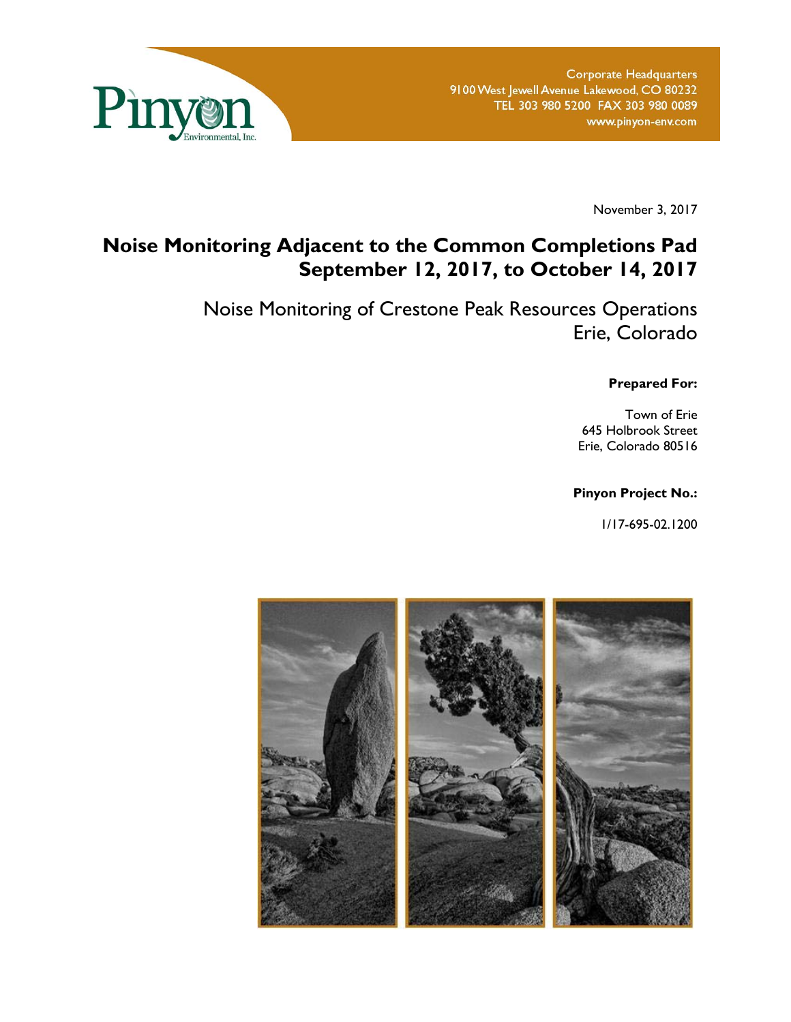

November 3, 2017

# **Noise Monitoring Adjacent to the Common Completions Pad September 12, 2017, to October 14, 2017**

Noise Monitoring of Crestone Peak Resources Operations Erie, Colorado

**Prepared For:** 

Town of Erie 645 Holbrook Street Erie, Colorado 80516

### **Pinyon Project No.:**

1/17-695-02.1200

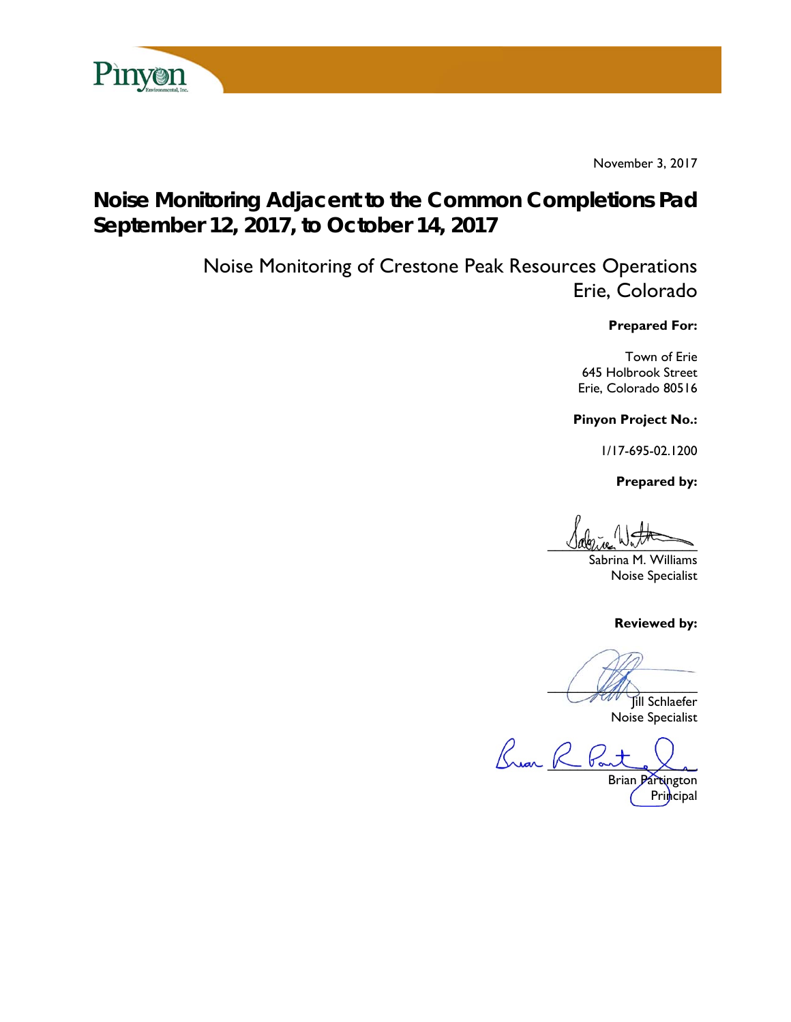

November 3, 2017

# **Noise Monitoring Adjacent to the Common Completions Pad September 12, 2017, to October 14, 2017**

Noise Monitoring of Crestone Peak Resources Operations Erie, Colorado

### **Prepared For:**

Town of Erie 645 Holbrook Street Erie, Colorado 80516

**Pinyon Project No.:** 

1/17-695-02.1200

 **Prepared by:** 

 $U$ avenue  $W_{\text{min}}$ 

Sabrina M. Williams Noise Specialist

**Reviewed by:** 

 $\sqrt{2\pi}$ 

Jill Schlaefer Noise Specialist

Brear R Pan

Brian Partington Principal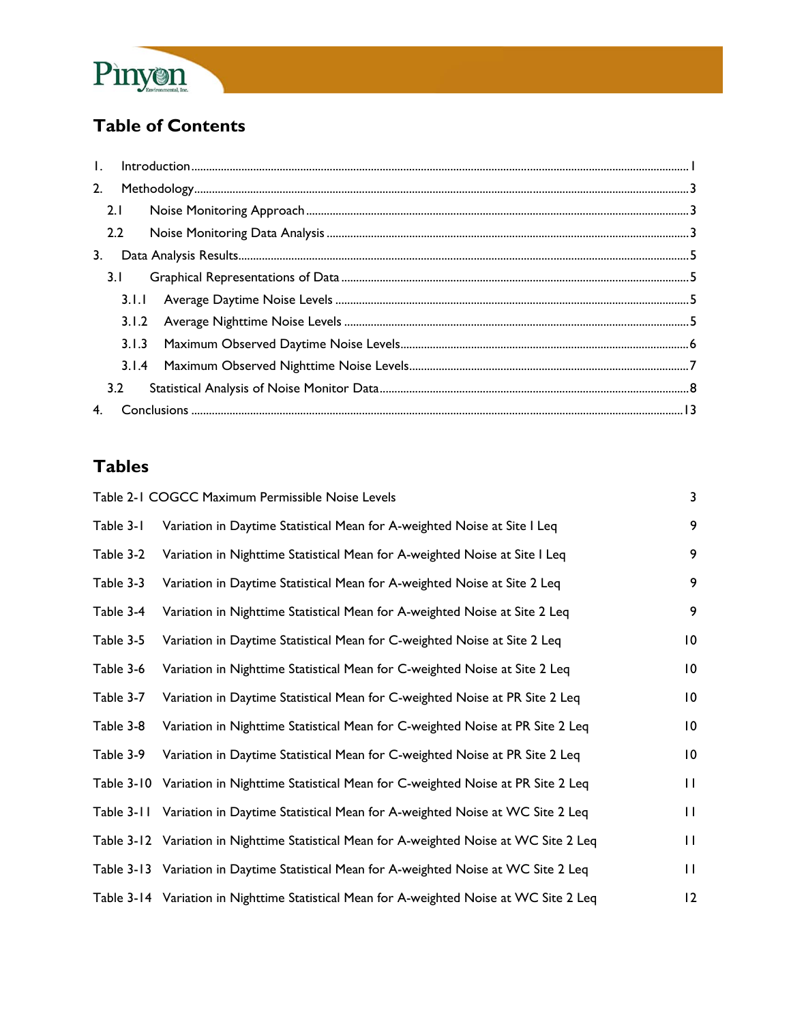

# **Table of Contents**

| $\mathbf{L}$ |       |  |
|--------------|-------|--|
| 2.           |       |  |
|              | 2.1   |  |
|              | 2.2   |  |
| 3.           |       |  |
|              | 3.1   |  |
|              |       |  |
|              |       |  |
|              | 3.1.3 |  |
|              |       |  |
|              | 3.2   |  |
|              |       |  |

# **Tables**

|            | Table 2-1 COGCC Maximum Permissible Noise Levels                                         | 3               |
|------------|------------------------------------------------------------------------------------------|-----------------|
| Table 3-1  | Variation in Daytime Statistical Mean for A-weighted Noise at Site I Leq                 | 9               |
| Table 3-2  | Variation in Nighttime Statistical Mean for A-weighted Noise at Site I Leq               | 9               |
| Table 3-3  | Variation in Daytime Statistical Mean for A-weighted Noise at Site 2 Leq                 | 9               |
| Table 3-4  | Variation in Nighttime Statistical Mean for A-weighted Noise at Site 2 Leq               | 9               |
| Table 3-5  | Variation in Daytime Statistical Mean for C-weighted Noise at Site 2 Leq                 | 10              |
| Table 3-6  | Variation in Nighttime Statistical Mean for C-weighted Noise at Site 2 Leq               | $\overline{10}$ |
| Table 3-7  | Variation in Daytime Statistical Mean for C-weighted Noise at PR Site 2 Leq              | $\overline{10}$ |
| Table 3-8  | Variation in Nighttime Statistical Mean for C-weighted Noise at PR Site 2 Leq            | 10              |
| Table 3-9  | Variation in Daytime Statistical Mean for C-weighted Noise at PR Site 2 Leq              | $\overline{10}$ |
|            | Table 3-10 Variation in Nighttime Statistical Mean for C-weighted Noise at PR Site 2 Leq | $\mathbf{H}$    |
| Table 3-11 | Variation in Daytime Statistical Mean for A-weighted Noise at WC Site 2 Leq              | $\mathbf{H}$    |
|            | Table 3-12 Variation in Nighttime Statistical Mean for A-weighted Noise at WC Site 2 Leq | $\mathbf{H}$    |
|            | Table 3-13 Variation in Daytime Statistical Mean for A-weighted Noise at WC Site 2 Leq   | $\mathbf{H}$    |
|            | Table 3-14 Variation in Nighttime Statistical Mean for A-weighted Noise at WC Site 2 Leq | $\overline{2}$  |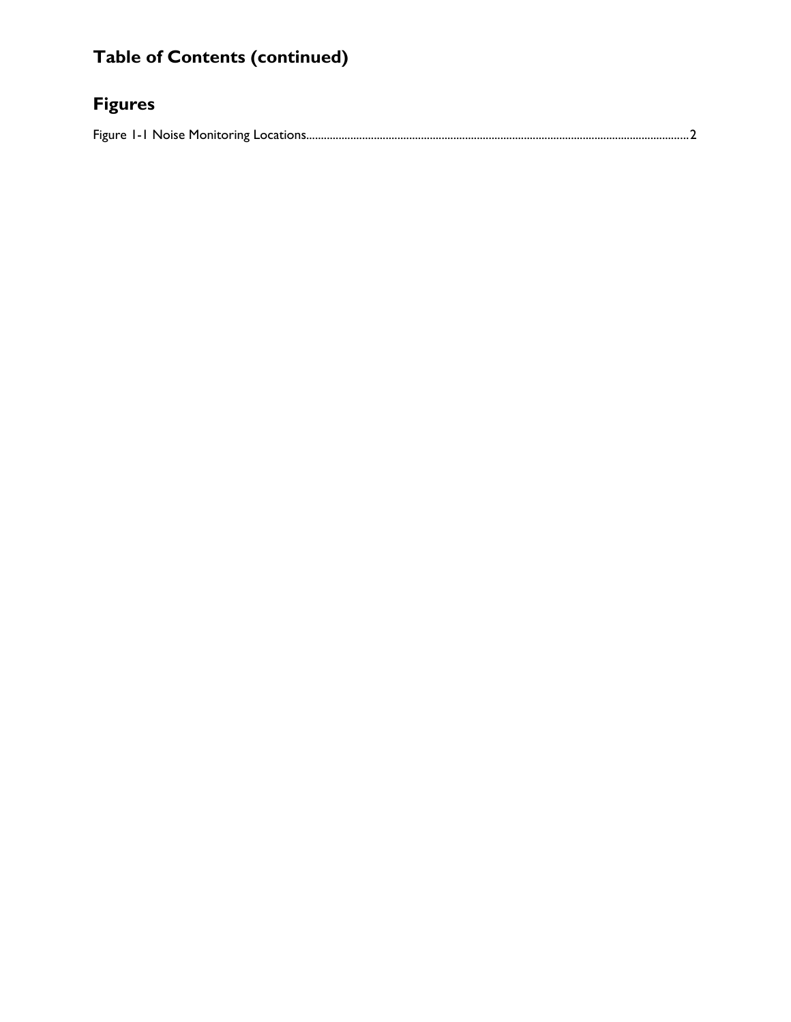# **Table of Contents (continued)**

# **Figures**

Figure 1-1 Noise Monitoring Locations .................................................................................................................................. 2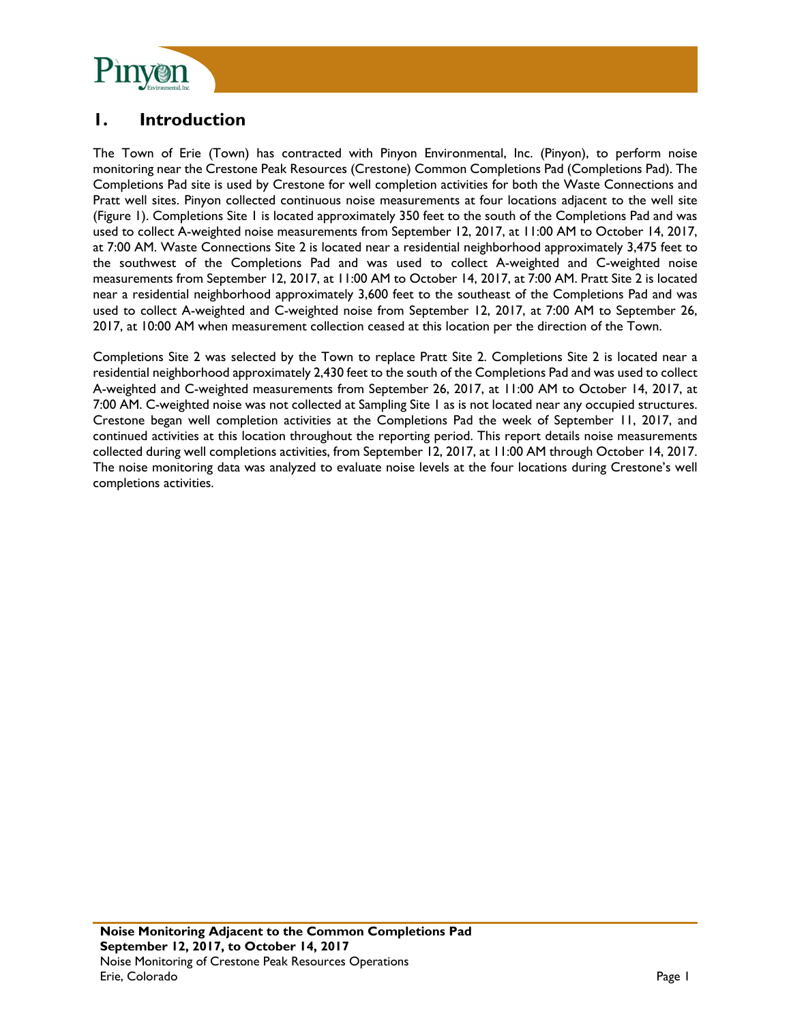

## **1. Introduction**

The Town of Erie (Town) has contracted with Pinyon Environmental, Inc. (Pinyon), to perform noise monitoring near the Crestone Peak Resources (Crestone) Common Completions Pad (Completions Pad). The Completions Pad site is used by Crestone for well completion activities for both the Waste Connections and Pratt well sites. Pinyon collected continuous noise measurements at four locations adjacent to the well site (Figure 1). Completions Site 1 is located approximately 350 feet to the south of the Completions Pad and was used to collect A-weighted noise measurements from September 12, 2017, at 11:00 AM to October 14, 2017, at 7:00 AM. Waste Connections Site 2 is located near a residential neighborhood approximately 3,475 feet to the southwest of the Completions Pad and was used to collect A-weighted and C-weighted noise measurements from September 12, 2017, at 11:00 AM to October 14, 2017, at 7:00 AM. Pratt Site 2 is located near a residential neighborhood approximately 3,600 feet to the southeast of the Completions Pad and was used to collect A-weighted and C-weighted noise from September 12, 2017, at 7:00 AM to September 26, 2017, at 10:00 AM when measurement collection ceased at this location per the direction of the Town.

Completions Site 2 was selected by the Town to replace Pratt Site 2. Completions Site 2 is located near a residential neighborhood approximately 2,430 feet to the south of the Completions Pad and was used to collect A-weighted and C-weighted measurements from September 26, 2017, at 11:00 AM to October 14, 2017, at 7:00 AM. C-weighted noise was not collected at Sampling Site 1 as is not located near any occupied structures. Crestone began well completion activities at the Completions Pad the week of September 11, 2017, and continued activities at this location throughout the reporting period. This report details noise measurements collected during well completions activities, from September 12, 2017, at 11:00 AM through October 14, 2017. The noise monitoring data was analyzed to evaluate noise levels at the four locations during Crestone's well completions activities.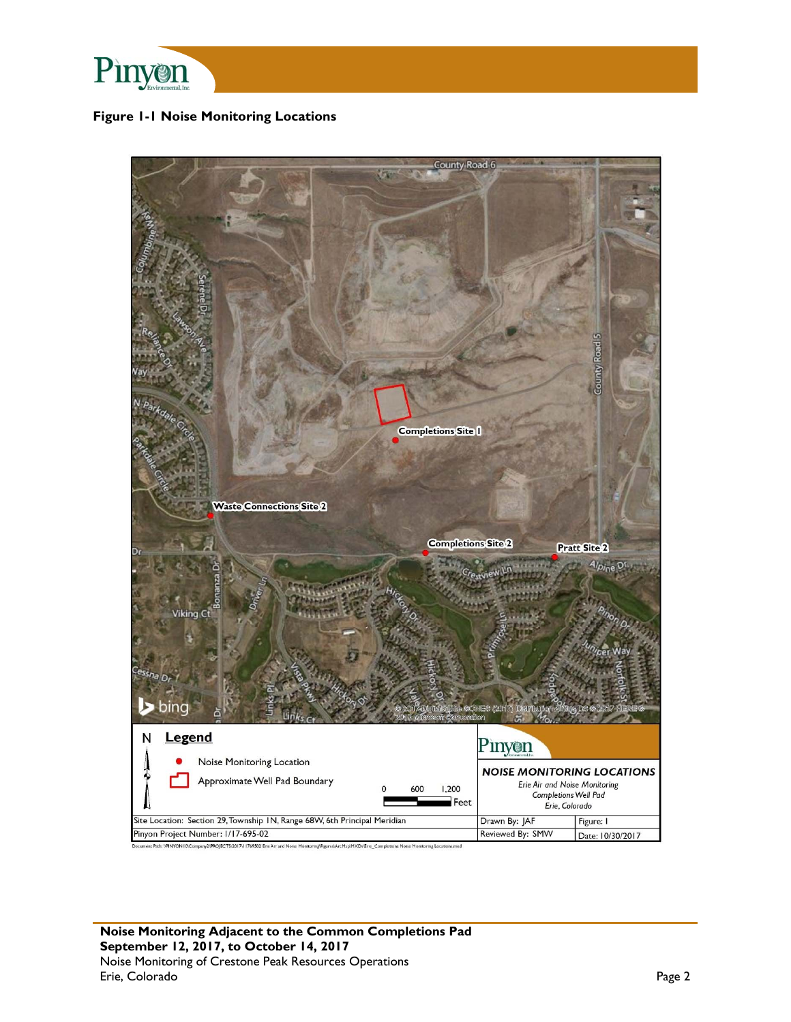

### **Figure 1-1 Noise Monitoring Locations**

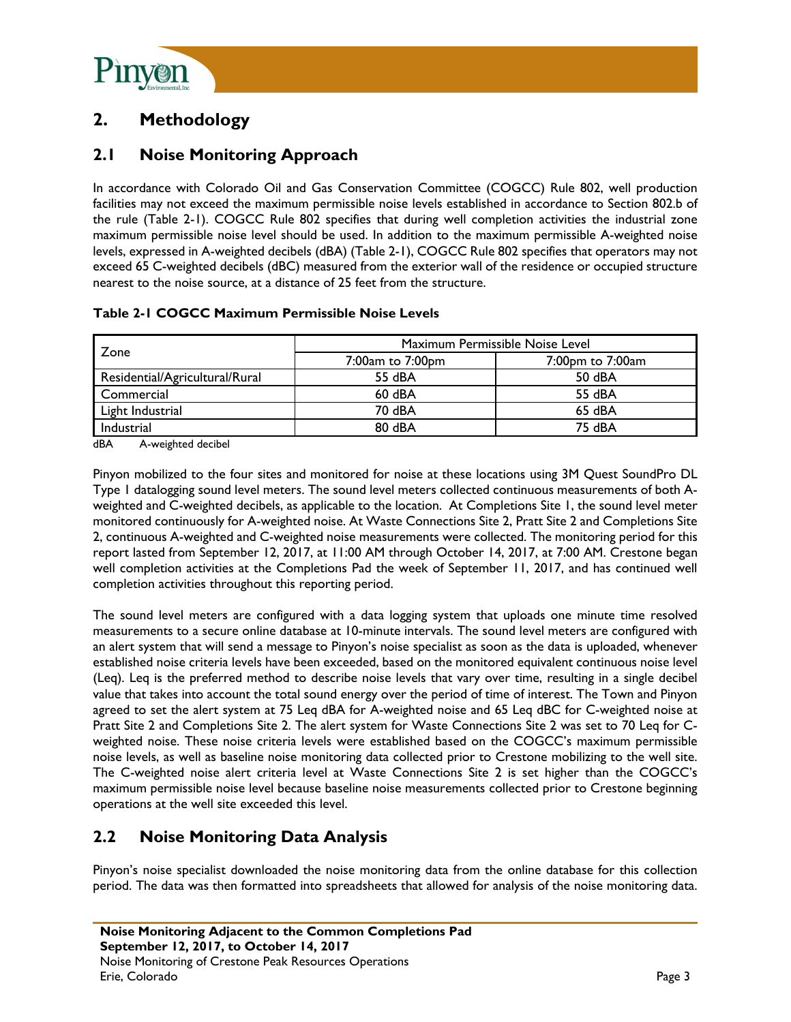

# **2. Methodology**

## **2.1 Noise Monitoring Approach**

In accordance with Colorado Oil and Gas Conservation Committee (COGCC) Rule 802, well production facilities may not exceed the maximum permissible noise levels established in accordance to Section 802.b of the rule (Table 2-1). COGCC Rule 802 specifies that during well completion activities the industrial zone maximum permissible noise level should be used. In addition to the maximum permissible A-weighted noise levels, expressed in A-weighted decibels (dBA) (Table 2-1), COGCC Rule 802 specifies that operators may not exceed 65 C-weighted decibels (dBC) measured from the exterior wall of the residence or occupied structure nearest to the noise source, at a distance of 25 feet from the structure.

| Table 2-1 COGCC Maximum Permissible Noise Levels |  |
|--------------------------------------------------|--|
|--------------------------------------------------|--|

|                                | Maximum Permissible Noise Level |                  |  |  |
|--------------------------------|---------------------------------|------------------|--|--|
| Zone                           | 7:00am to 7:00pm                | 7:00pm to 7:00am |  |  |
| Residential/Agricultural/Rural | 55 dBA                          | 50 dBA           |  |  |
| Commercial                     | 60 dBA                          | 55 dBA           |  |  |
| Light Industrial               | 70 dBA                          | 65 dBA           |  |  |
| Industrial                     | 80 dBA                          | 75 dBA           |  |  |

dBA A-weighted decibel

Pinyon mobilized to the four sites and monitored for noise at these locations using 3M Quest SoundPro DL Type 1 datalogging sound level meters. The sound level meters collected continuous measurements of both Aweighted and C-weighted decibels, as applicable to the location. At Completions Site 1, the sound level meter monitored continuously for A-weighted noise. At Waste Connections Site 2, Pratt Site 2 and Completions Site 2, continuous A-weighted and C-weighted noise measurements were collected. The monitoring period for this report lasted from September 12, 2017, at 11:00 AM through October 14, 2017, at 7:00 AM. Crestone began well completion activities at the Completions Pad the week of September 11, 2017, and has continued well completion activities throughout this reporting period.

The sound level meters are configured with a data logging system that uploads one minute time resolved measurements to a secure online database at 10-minute intervals. The sound level meters are configured with an alert system that will send a message to Pinyon's noise specialist as soon as the data is uploaded, whenever established noise criteria levels have been exceeded, based on the monitored equivalent continuous noise level (Leq). Leq is the preferred method to describe noise levels that vary over time, resulting in a single decibel value that takes into account the total sound energy over the period of time of interest. The Town and Pinyon agreed to set the alert system at 75 Leq dBA for A-weighted noise and 65 Leq dBC for C-weighted noise at Pratt Site 2 and Completions Site 2. The alert system for Waste Connections Site 2 was set to 70 Leq for Cweighted noise. These noise criteria levels were established based on the COGCC's maximum permissible noise levels, as well as baseline noise monitoring data collected prior to Crestone mobilizing to the well site. The C-weighted noise alert criteria level at Waste Connections Site 2 is set higher than the COGCC's maximum permissible noise level because baseline noise measurements collected prior to Crestone beginning operations at the well site exceeded this level.

## **2.2 Noise Monitoring Data Analysis**

Pinyon's noise specialist downloaded the noise monitoring data from the online database for this collection period. The data was then formatted into spreadsheets that allowed for analysis of the noise monitoring data.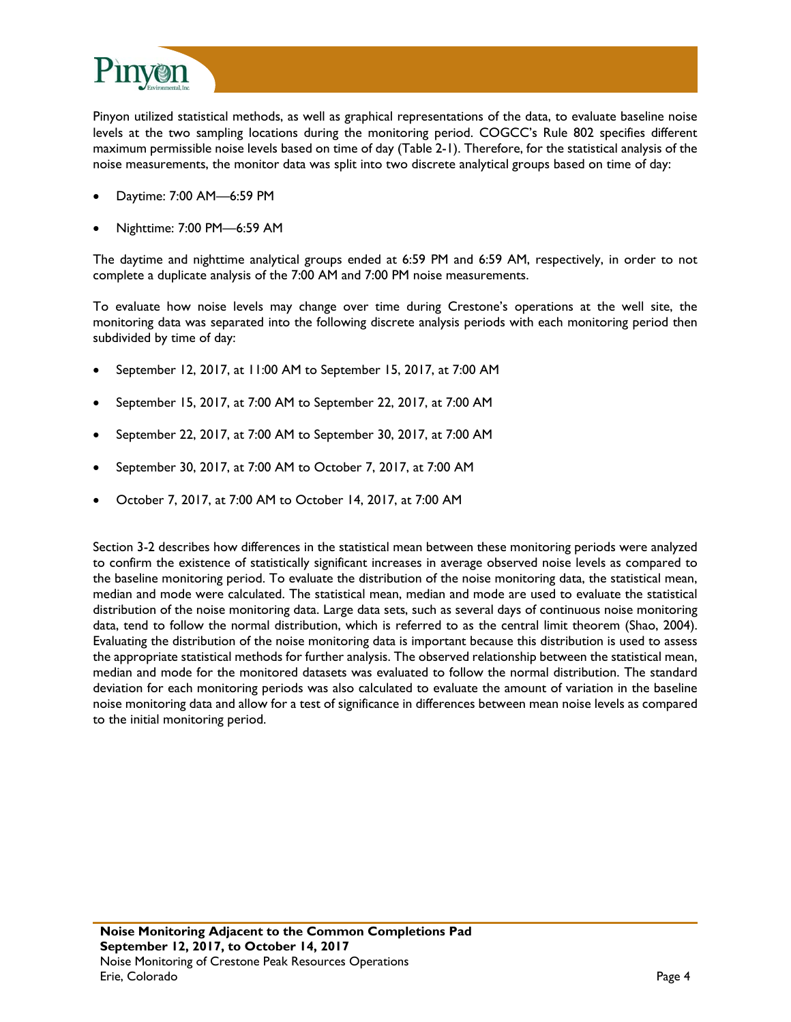

Pinyon utilized statistical methods, as well as graphical representations of the data, to evaluate baseline noise levels at the two sampling locations during the monitoring period. COGCC's Rule 802 specifies different maximum permissible noise levels based on time of day (Table 2-1). Therefore, for the statistical analysis of the noise measurements, the monitor data was split into two discrete analytical groups based on time of day:

- Daytime: 7:00 AM—6:59 PM
- Nighttime: 7:00 PM—6:59 AM

The daytime and nighttime analytical groups ended at 6:59 PM and 6:59 AM, respectively, in order to not complete a duplicate analysis of the 7:00 AM and 7:00 PM noise measurements.

To evaluate how noise levels may change over time during Crestone's operations at the well site, the monitoring data was separated into the following discrete analysis periods with each monitoring period then subdivided by time of day:

- September 12, 2017, at 11:00 AM to September 15, 2017, at 7:00 AM
- September 15, 2017, at 7:00 AM to September 22, 2017, at 7:00 AM
- September 22, 2017, at 7:00 AM to September 30, 2017, at 7:00 AM
- September 30, 2017, at 7:00 AM to October 7, 2017, at 7:00 AM
- October 7, 2017, at 7:00 AM to October 14, 2017, at 7:00 AM

Section 3-2 describes how differences in the statistical mean between these monitoring periods were analyzed to confirm the existence of statistically significant increases in average observed noise levels as compared to the baseline monitoring period. To evaluate the distribution of the noise monitoring data, the statistical mean, median and mode were calculated. The statistical mean, median and mode are used to evaluate the statistical distribution of the noise monitoring data. Large data sets, such as several days of continuous noise monitoring data, tend to follow the normal distribution, which is referred to as the central limit theorem (Shao, 2004). Evaluating the distribution of the noise monitoring data is important because this distribution is used to assess the appropriate statistical methods for further analysis. The observed relationship between the statistical mean, median and mode for the monitored datasets was evaluated to follow the normal distribution. The standard deviation for each monitoring periods was also calculated to evaluate the amount of variation in the baseline noise monitoring data and allow for a test of significance in differences between mean noise levels as compared to the initial monitoring period.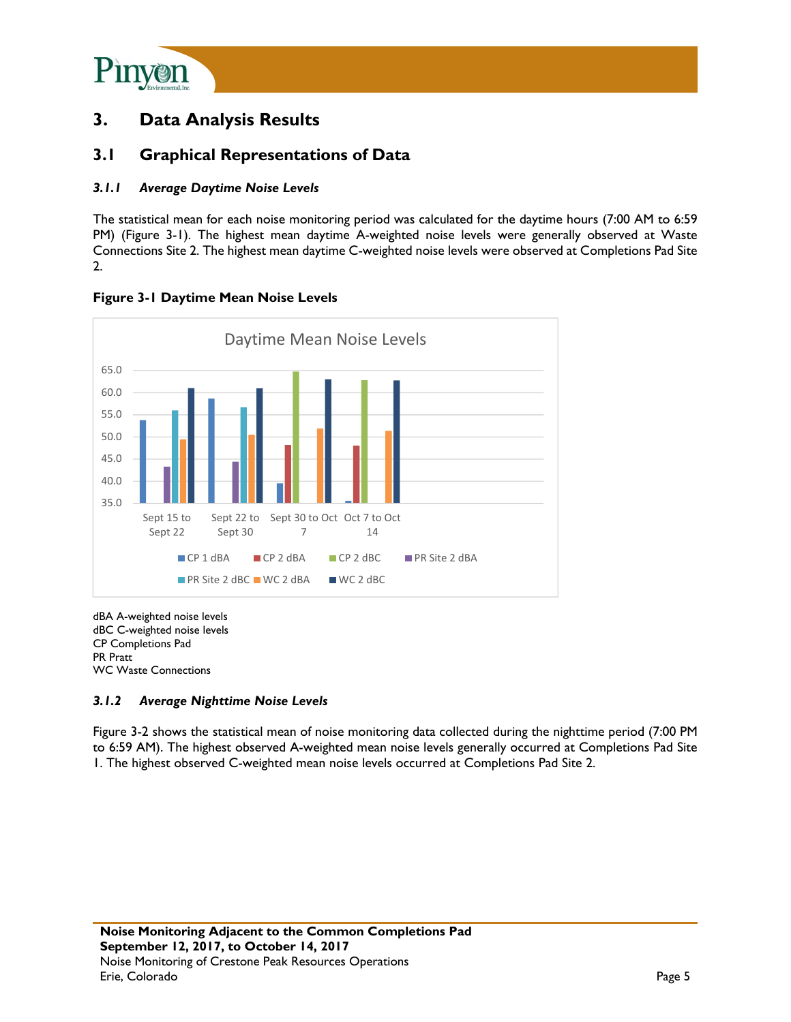

# **3. Data Analysis Results**

### **3.1 Graphical Representations of Data**

### *3.1.1 Average Daytime Noise Levels*

The statistical mean for each noise monitoring period was calculated for the daytime hours (7:00 AM to 6:59 PM) (Figure 3-1). The highest mean daytime A-weighted noise levels were generally observed at Waste Connections Site 2. The highest mean daytime C-weighted noise levels were observed at Completions Pad Site 2.



### **Figure 3-1 Daytime Mean Noise Levels**

dBA A-weighted noise levels dBC C-weighted noise levels CP Completions Pad PR Pratt WC Waste Connections

### *3.1.2 Average Nighttime Noise Levels*

Figure 3-2 shows the statistical mean of noise monitoring data collected during the nighttime period (7:00 PM to 6:59 AM). The highest observed A-weighted mean noise levels generally occurred at Completions Pad Site 1. The highest observed C-weighted mean noise levels occurred at Completions Pad Site 2.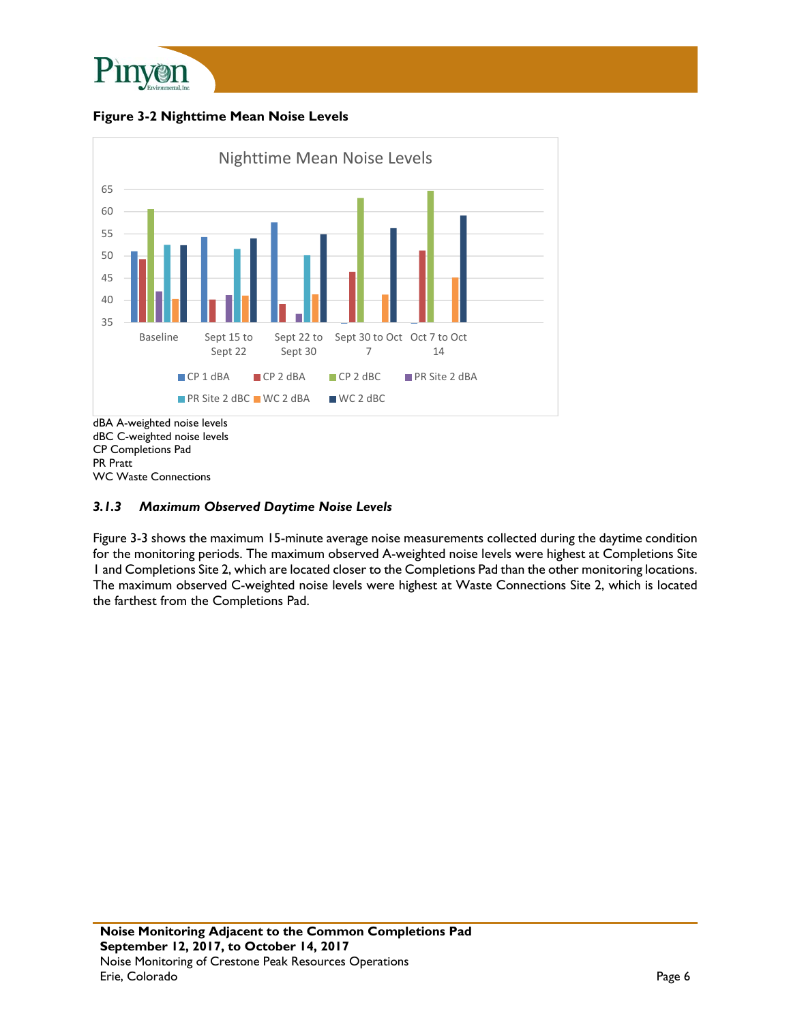

**Figure 3-2 Nighttime Mean Noise Levels** 



PR Pratt WC Waste Connections

### *3.1.3 Maximum Observed Daytime Noise Levels*

Figure 3-3 shows the maximum 15-minute average noise measurements collected during the daytime condition for the monitoring periods. The maximum observed A-weighted noise levels were highest at Completions Site 1 and Completions Site 2, which are located closer to the Completions Pad than the other monitoring locations. The maximum observed C-weighted noise levels were highest at Waste Connections Site 2, which is located the farthest from the Completions Pad.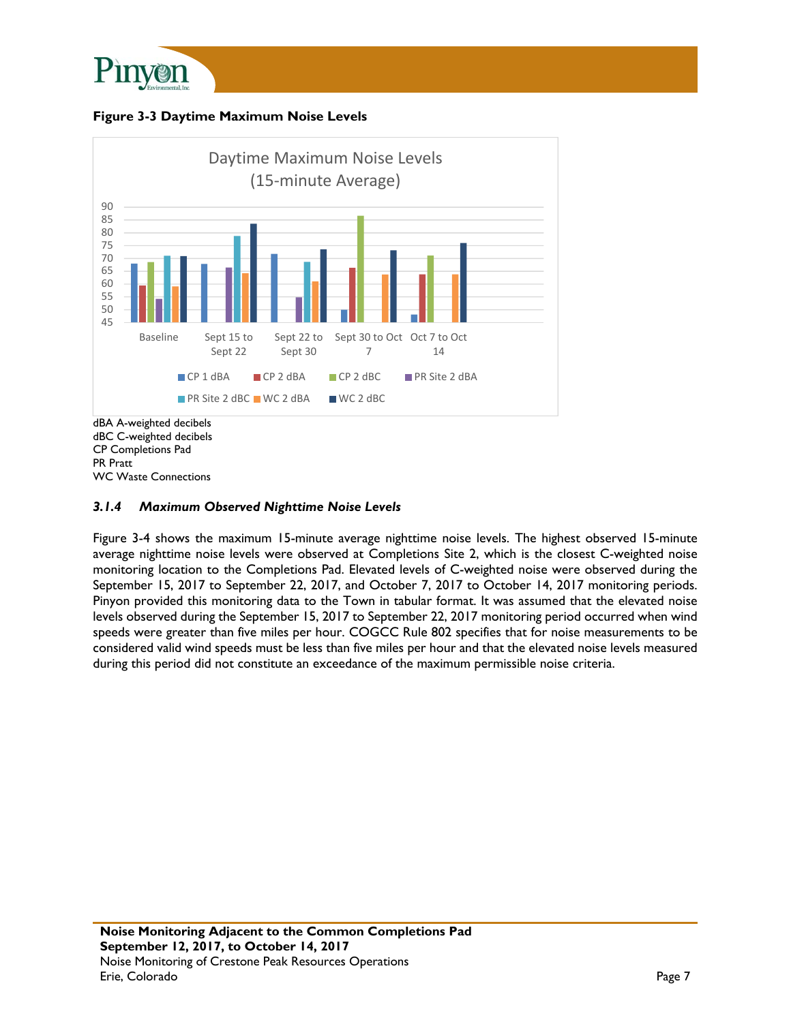

**Figure 3-3 Daytime Maximum Noise Levels** 



WC Waste Connections

### *3.1.4 Maximum Observed Nighttime Noise Levels*

Figure 3-4 shows the maximum 15-minute average nighttime noise levels. The highest observed 15-minute average nighttime noise levels were observed at Completions Site 2, which is the closest C-weighted noise monitoring location to the Completions Pad. Elevated levels of C-weighted noise were observed during the September 15, 2017 to September 22, 2017, and October 7, 2017 to October 14, 2017 monitoring periods. Pinyon provided this monitoring data to the Town in tabular format. It was assumed that the elevated noise levels observed during the September 15, 2017 to September 22, 2017 monitoring period occurred when wind speeds were greater than five miles per hour. COGCC Rule 802 specifies that for noise measurements to be considered valid wind speeds must be less than five miles per hour and that the elevated noise levels measured during this period did not constitute an exceedance of the maximum permissible noise criteria.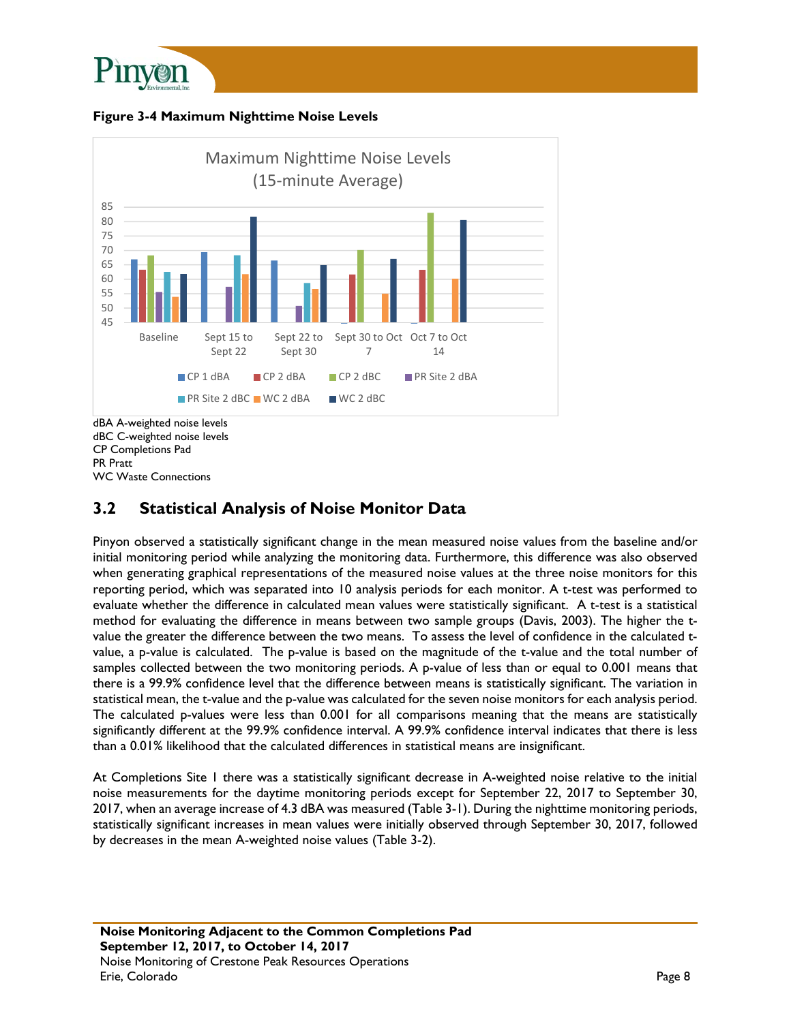





PR Pratt WC Waste Connections

## **3.2 Statistical Analysis of Noise Monitor Data**

Pinyon observed a statistically significant change in the mean measured noise values from the baseline and/or initial monitoring period while analyzing the monitoring data. Furthermore, this difference was also observed when generating graphical representations of the measured noise values at the three noise monitors for this reporting period, which was separated into 10 analysis periods for each monitor. A t-test was performed to evaluate whether the difference in calculated mean values were statistically significant. A t-test is a statistical method for evaluating the difference in means between two sample groups (Davis, 2003). The higher the tvalue the greater the difference between the two means. To assess the level of confidence in the calculated tvalue, a p-value is calculated. The p-value is based on the magnitude of the t-value and the total number of samples collected between the two monitoring periods. A p-value of less than or equal to 0.001 means that there is a 99.9% confidence level that the difference between means is statistically significant. The variation in statistical mean, the t-value and the p-value was calculated for the seven noise monitors for each analysis period. The calculated p-values were less than 0.001 for all comparisons meaning that the means are statistically significantly different at the 99.9% confidence interval. A 99.9% confidence interval indicates that there is less than a 0.01% likelihood that the calculated differences in statistical means are insignificant.

At Completions Site 1 there was a statistically significant decrease in A-weighted noise relative to the initial noise measurements for the daytime monitoring periods except for September 22, 2017 to September 30, 2017, when an average increase of 4.3 dBA was measured (Table 3-1). During the nighttime monitoring periods, statistically significant increases in mean values were initially observed through September 30, 2017, followed by decreases in the mean A-weighted noise values (Table 3-2).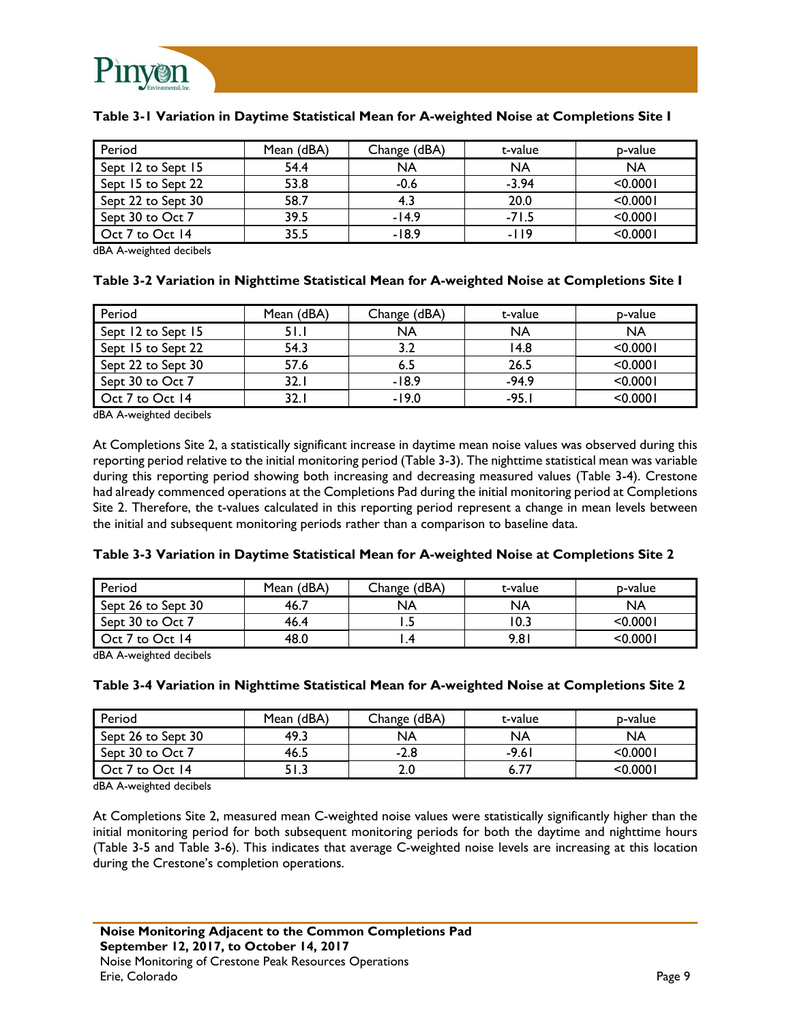

| Period             | Mean (dBA) | Change (dBA) | t-value   | p-value   |
|--------------------|------------|--------------|-----------|-----------|
| Sept 12 to Sept 15 | 54.4       | <b>NA</b>    | <b>NA</b> | <b>NA</b> |
| Sept 15 to Sept 22 | 53.8       | $-0.6$       | $-3.94$   | < 0.0001  |
| Sept 22 to Sept 30 | 58.7       | 4.3          | 20.0      | < 0.0001  |
| Sept 30 to Oct 7   | 39.5       | $-14.9$      | $-71.5$   | < 0.0001  |
| Oct 7 to Oct 14    | 35.5       | -18.9        | -119      | < 0.0001  |

#### **Table 3-1 Variation in Daytime Statistical Mean for A-weighted Noise at Completions Site I**

dBA A-weighted decibels

### **Table 3-2 Variation in Nighttime Statistical Mean for A-weighted Noise at Completions Site I**

| Period             | Mean (dBA) | Change (dBA) | t-value   | p-value  |
|--------------------|------------|--------------|-----------|----------|
| Sept 12 to Sept 15 | 5 I.I      | NA           | <b>NA</b> | NA       |
| Sept 15 to Sept 22 | 54.3       |              | 14.8      | < 0.0001 |
| Sept 22 to Sept 30 | 57.6       |              | 26.5      | < 0.0001 |
| Sept 30 to Oct 7   | 32. I      | $-18.9$      | $-94.9$   | < 0.0001 |
| Oct 7 to Oct 14    | 32.        | $-19.0$      | $-95.1$   | < 0.0001 |

dBA A-weighted decibels

At Completions Site 2, a statistically significant increase in daytime mean noise values was observed during this reporting period relative to the initial monitoring period (Table 3-3). The nighttime statistical mean was variable during this reporting period showing both increasing and decreasing measured values (Table 3-4). Crestone had already commenced operations at the Completions Pad during the initial monitoring period at Completions Site 2. Therefore, the t-values calculated in this reporting period represent a change in mean levels between the initial and subsequent monitoring periods rather than a comparison to baseline data.

#### **Table 3-3 Variation in Daytime Statistical Mean for A-weighted Noise at Completions Site 2**

| Period             | Mean (dBA) | Change (dBA) | t-value | p-value  |
|--------------------|------------|--------------|---------|----------|
| Sept 26 to Sept 30 | 46.7       | NA           | NA      | NA       |
| Sept 30 to Oct 7   | 46.4       |              | 10.3    | < 0.0001 |
| Oct 7 to Oct 14    | 48.0       |              | 9.81    | < 0.0001 |

dBA A-weighted decibels

### **Table 3-4 Variation in Nighttime Statistical Mean for A-weighted Noise at Completions Site 2**

| Period             | Mean (dBA)    | Change (dBA) | t-value | p-value   |
|--------------------|---------------|--------------|---------|-----------|
| Sept 26 to Sept 30 | 49.3          | NA           | NA      | NA        |
| Sept 30 to Oct 7   | 46.5          | $-2.8$       | -9.61   | < 0.0001  |
| Oct 7 to Oct 14    | E I<br>د. ۱ د | z.u          | 6.77    | $<$ 0.000 |

dBA A-weighted decibels

At Completions Site 2, measured mean C-weighted noise values were statistically significantly higher than the initial monitoring period for both subsequent monitoring periods for both the daytime and nighttime hours (Table 3-5 and Table 3-6). This indicates that average C-weighted noise levels are increasing at this location during the Crestone's completion operations.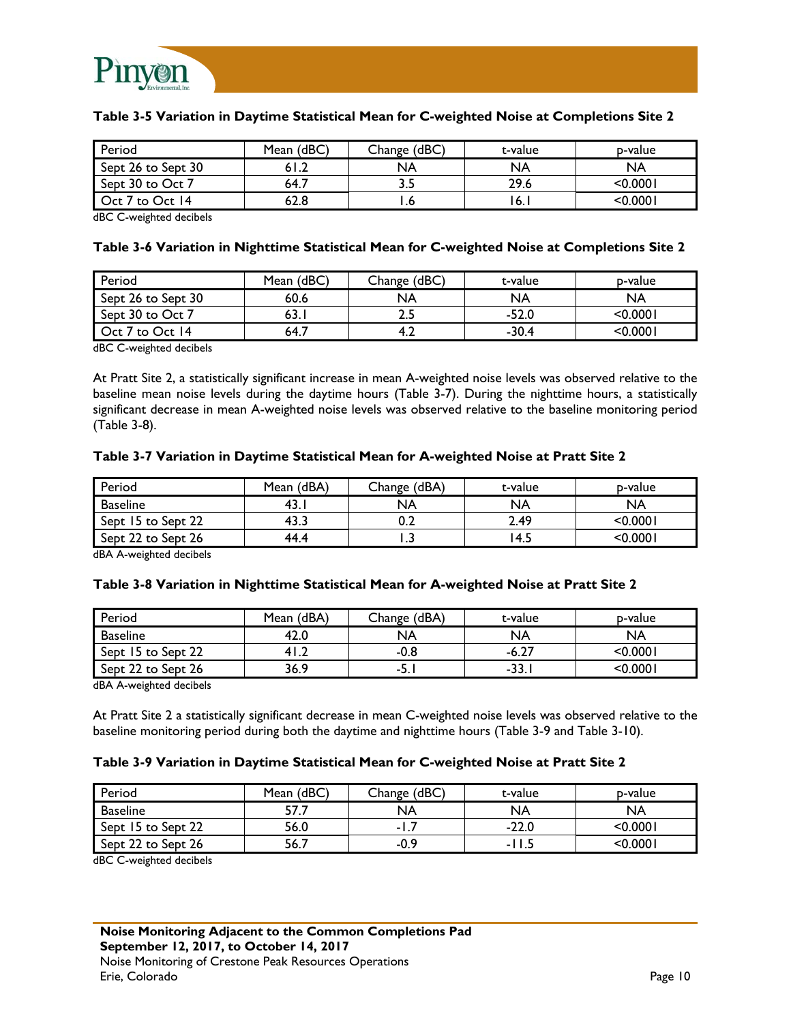

### **Table 3-5 Variation in Daytime Statistical Mean for C-weighted Noise at Completions Site 2**

| Period             | Mean (dBC) | Change (dBC) | t-value | p-value  |
|--------------------|------------|--------------|---------|----------|
| Sept 26 to Sept 30 | 61.2       | NA           | NA      | NA       |
| Sept 30 to Oct 7   | 64.7       | ر.ر          | 29.6    | <0.0001  |
| Oct 7 to Oct 14    | 62.8       |              | ۱6.۱    | < 0.0001 |

dBC C-weighted decibels

#### **Table 3-6 Variation in Nighttime Statistical Mean for C-weighted Noise at Completions Site 2**

| Period             | Mean (dBC) | Change (dBC) | t-value   | p-value  |
|--------------------|------------|--------------|-----------|----------|
| Sept 26 to Sept 30 | 60.6       | NA           | <b>NA</b> | NA       |
| Sept 30 to Oct 7   | 63.        | <b></b>      | $-52.0$   | < 0.0001 |
| Oct 7 to Oct 14    | 64.7       |              | $-30.4$   | < 0.0001 |

dBC C-weighted decibels

At Pratt Site 2, a statistically significant increase in mean A-weighted noise levels was observed relative to the baseline mean noise levels during the daytime hours (Table 3-7). During the nighttime hours, a statistically significant decrease in mean A-weighted noise levels was observed relative to the baseline monitoring period (Table 3-8).

#### **Table 3-7 Variation in Daytime Statistical Mean for A-weighted Noise at Pratt Site 2**

| Period             | Mean (dBA) | Change (dBA) | t-value | p-value   |
|--------------------|------------|--------------|---------|-----------|
| <b>Baseline</b>    | -43. .     | NA           | NA      | NA        |
| Sept 15 to Sept 22 | 43.        | V.Z          | 2.49    | < 0.0001  |
| Sept 22 to Sept 26 | 44.4       | .            | 4.5     | $<$ 0.000 |

dBA A-weighted decibels

#### **Table 3-8 Variation in Nighttime Statistical Mean for A-weighted Noise at Pratt Site 2**

| Period             | Mean (dBA) | Change (dBA) | t-value | p-value     |
|--------------------|------------|--------------|---------|-------------|
| Baseline           | 42.0       | NA           | NA      | NA          |
| Sept 15 to Sept 22 | ∡.14       | -0.8         | $-6.27$ | < 0.0001    |
| Sept 22 to Sept 26 | 36.9       | -5.          | $-33.$  | $<$ 0.000 l |

dBA A-weighted decibels

At Pratt Site 2 a statistically significant decrease in mean C-weighted noise levels was observed relative to the baseline monitoring period during both the daytime and nighttime hours (Table 3-9 and Table 3-10).

#### **Table 3-9 Variation in Daytime Statistical Mean for C-weighted Noise at Pratt Site 2**

| Period             | Mean (dBC) | Change (dBC) | t-value | p-value  |
|--------------------|------------|--------------|---------|----------|
| <b>Baseline</b>    | 57         | NA           | NA      | NA       |
| Sept 15 to Sept 22 | 56.0       | -1           | $-22.0$ | < 0.0001 |
| Sept 22 to Sept 26 | 56.7       | $-0.9$       | -11.    | < 0.0001 |

dBC C-weighted decibels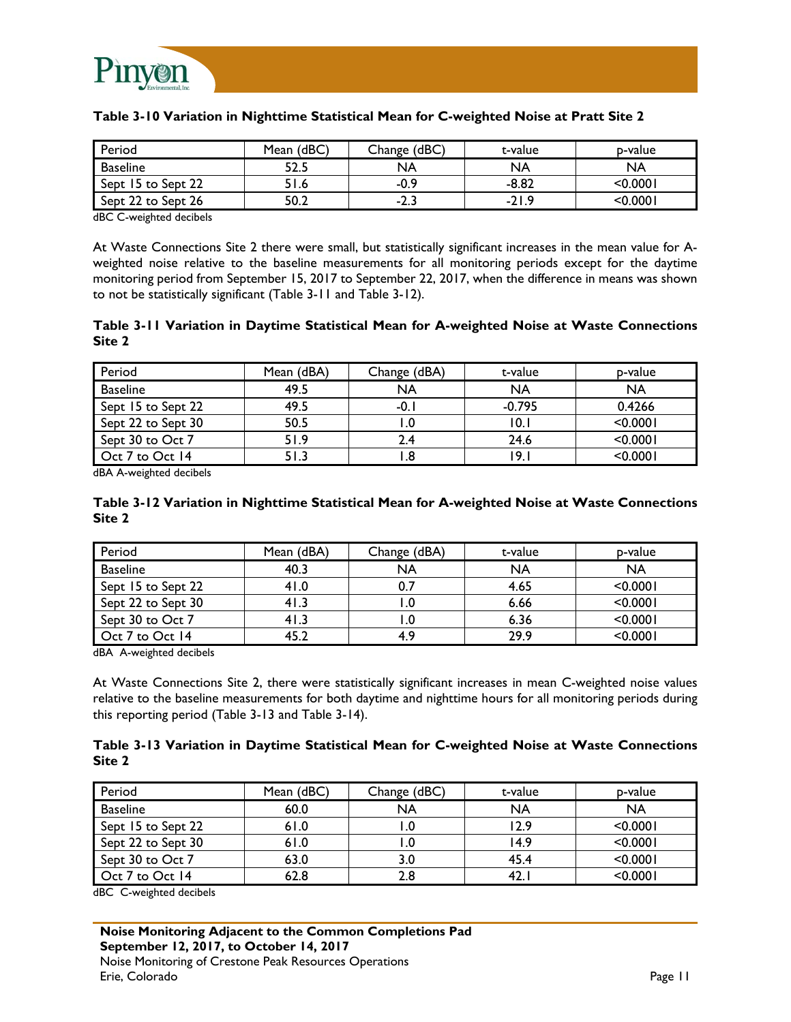

| Period             | Mean (dBC) | Change (dBC) | t-value | b-value  |
|--------------------|------------|--------------|---------|----------|
| <b>Baseline</b>    | 52.5       | NA           | NA      | NA       |
| Sept 15 to Sept 22 | 51.6       | $-0.9$       | $-8.82$ | < 0.0001 |
| Sept 22 to Sept 26 | 50.2       | -ר<br>ت.∠-   | $-21.9$ | <0.0001  |

### **Table 3-10 Variation in Nighttime Statistical Mean for C-weighted Noise at Pratt Site 2**

dBC C-weighted decibels

At Waste Connections Site 2 there were small, but statistically significant increases in the mean value for Aweighted noise relative to the baseline measurements for all monitoring periods except for the daytime monitoring period from September 15, 2017 to September 22, 2017, when the difference in means was shown to not be statistically significant (Table 3-11 and Table 3-12).

#### **Table 3-11 Variation in Daytime Statistical Mean for A-weighted Noise at Waste Connections Site 2**

| Period             | Mean (dBA) | Change (dBA) | t-value   | p-value   |
|--------------------|------------|--------------|-----------|-----------|
| <b>Baseline</b>    | 49.5       | <b>NA</b>    | <b>NA</b> | <b>NA</b> |
| Sept 15 to Sept 22 | 49.5       | -0.1         | $-0.795$  | 0.4266    |
| Sept 22 to Sept 30 | 50.5       |              | 10.I      | < 0.0001  |
| Sept 30 to Oct 7   | 51.9       |              | 24.6      | < 0.0001  |
| Oct 7 to Oct 14    | 51.3       |              | 19.1      | < 0.0001  |

dBA A-weighted decibels

### **Table 3-12 Variation in Nighttime Statistical Mean for A-weighted Noise at Waste Connections Site 2**

| Period             | Mean (dBA) | Change (dBA) | t-value | p-value   |
|--------------------|------------|--------------|---------|-----------|
| <b>Baseline</b>    | 40.3       | NA           | NA      | <b>NA</b> |
| Sept 15 to Sept 22 | 41.0       |              | 4.65    | < 0.0001  |
| Sept 22 to Sept 30 | 41.3       |              | 6.66    | < 0.0001  |
| Sept 30 to Oct 7   | 41.3       |              | 6.36    | < 0.0001  |
| Oct 7 to Oct 14    | 45.2       | 4.9          | 29.9    | < 0.0001  |

dBA A-weighted decibels

At Waste Connections Site 2, there were statistically significant increases in mean C-weighted noise values relative to the baseline measurements for both daytime and nighttime hours for all monitoring periods during this reporting period (Table 3-13 and Table 3-14).

### **Table 3-13 Variation in Daytime Statistical Mean for C-weighted Noise at Waste Connections Site 2**

| Period             | Mean (dBC) | Change (dBC) | t-value   | p-value   |
|--------------------|------------|--------------|-----------|-----------|
| <b>Baseline</b>    | 60.0       | NA           | <b>NA</b> | <b>NA</b> |
| Sept 15 to Sept 22 | 61.0       |              | 12.9      | < 0.0001  |
| Sept 22 to Sept 30 | 61.0       |              | 14.9      | < 0.0001  |
| Sept 30 to Oct 7   | 63.0       | 3.0          | 45.4      | < 0.0001  |
| Oct 7 to Oct 14    | 62.8       | 2.8          | 42.1      | < 0.0001  |

dBC C-weighted decibels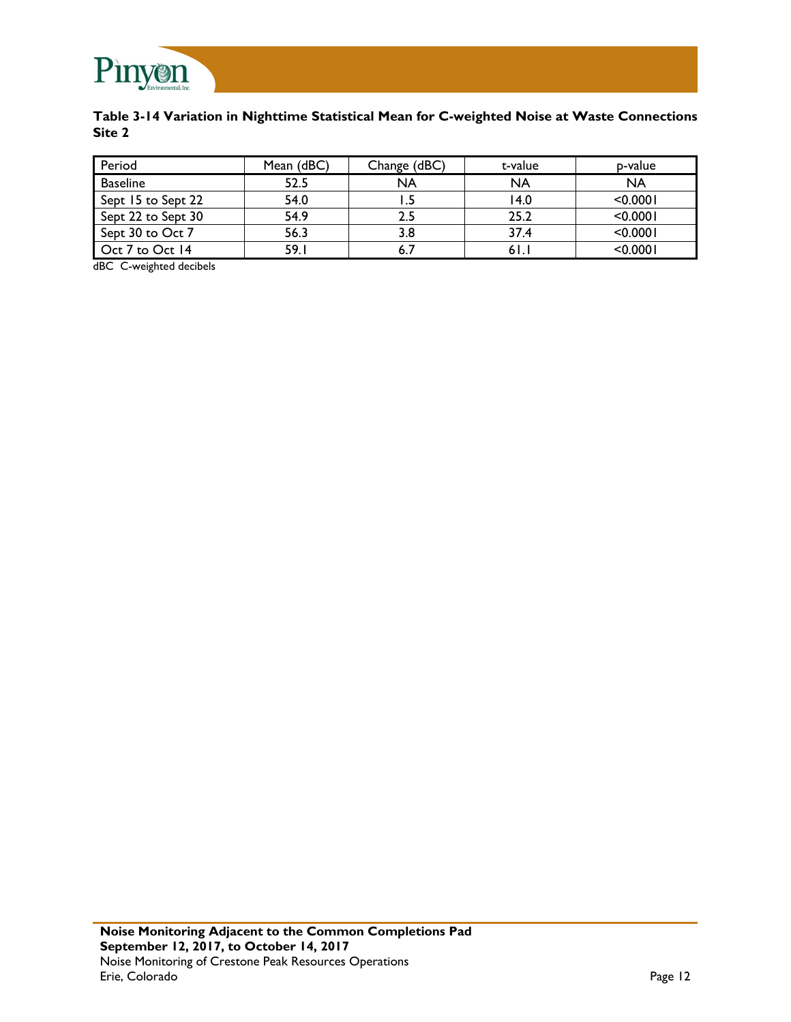

### **Table 3-14 Variation in Nighttime Statistical Mean for C-weighted Noise at Waste Connections Site 2**

| Period             | Mean (dBC) | Change (dBC) | t-value   | p-value   |
|--------------------|------------|--------------|-----------|-----------|
| <b>Baseline</b>    | 52.5       | <b>NA</b>    | <b>NA</b> | <b>NA</b> |
| Sept 15 to Sept 22 | 54.0       |              | 14.0      | < 0.0001  |
| Sept 22 to Sept 30 | 54.9       | 2.5          | 25.2      | < 0.0001  |
| Sept 30 to Oct 7   | 56.3       | 3.8          | 37.4      | < 0.0001  |
| Oct 7 to Oct 14    | 59.1       |              | 61.       | < 0.0001  |

dBC C-weighted decibels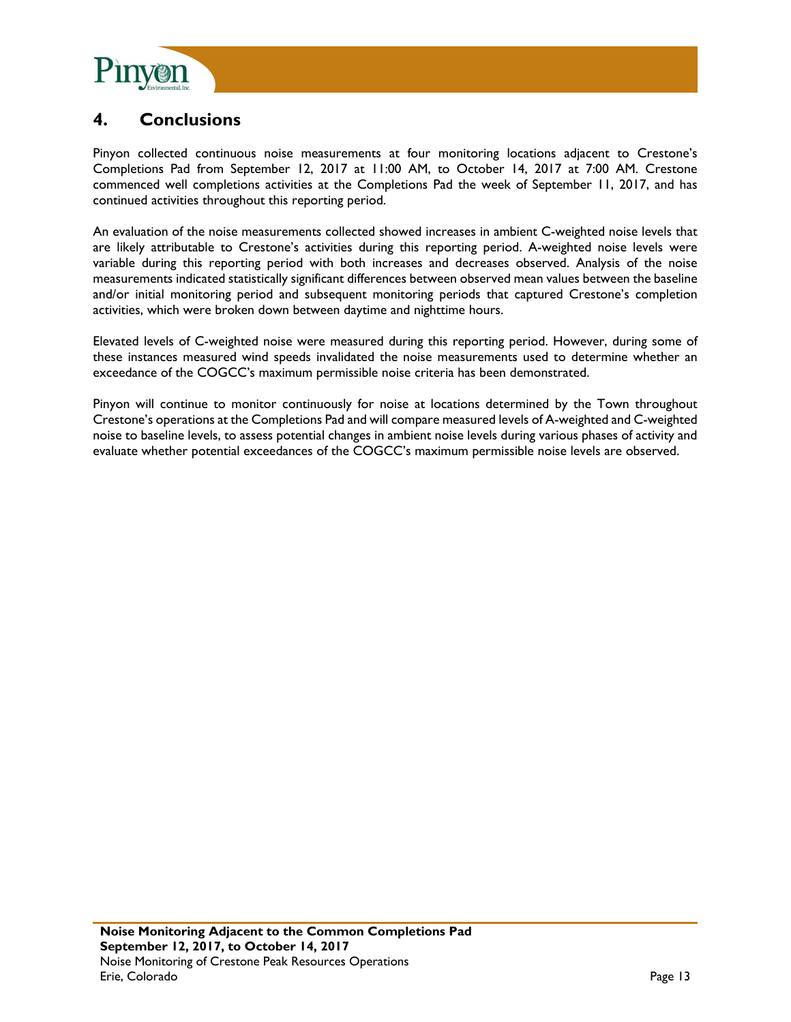

# **4. Conclusions**

Pinyon collected continuous noise measurements at four monitoring locations adjacent to Crestone's Completions Pad from September 12, 2017 at 11:00 AM, to October 14, 2017 at 7:00 AM. Crestone commenced well completions activities at the Completions Pad the week of September 11, 2017, and has continued activities throughout this reporting period.

An evaluation of the noise measurements collected showed increases in ambient C-weighted noise levels that are likely attributable to Crestone's activities during this reporting period. A-weighted noise levels were variable during this reporting period with both increases and decreases observed. Analysis of the noise measurements indicated statistically significant differences between observed mean values between the baseline and/or initial monitoring period and subsequent monitoring periods that captured Crestone's completion activities, which were broken down between daytime and nighttime hours.

Elevated levels of C-weighted noise were measured during this reporting period. However, during some of these instances measured wind speeds invalidated the noise measurements used to determine whether an exceedance of the COGCC's maximum permissible noise criteria has been demonstrated.

Pinyon will continue to monitor continuously for noise at locations determined by the Town throughout Crestone's operations at the Completions Pad and will compare measured levels of A-weighted and C-weighted noise to baseline levels, to assess potential changes in ambient noise levels during various phases of activity and evaluate whether potential exceedances of the COGCC's maximum permissible noise levels are observed.